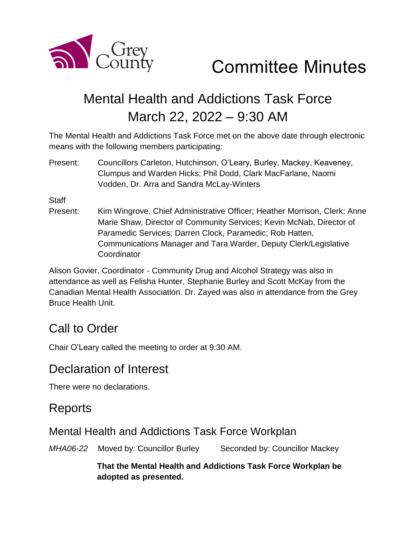

Committee Minutes

# Mental Health and Addictions Task Force March 22, 2022 – 9:30 AM

The Mental Health and Addictions Task Force met on the above date through electronic means with the following members participating:

Present: Councillors Carleton, Hutchinson, O'Leary, Burley, Mackey, Keaveney, Clumpus and Warden Hicks; Phil Dodd, Clark MacFarlane, Naomi Vodden, Dr. Arra and Sandra McLay-Winters

**Staff** 

Present: Kim Wingrove, Chief Administrative Officer; Heather Morrison, Clerk; Anne Marie Shaw, Director of Community Services; Kevin McNab, Director of Paramedic Services; Darren Clock, Paramedic; Rob Hatten, Communications Manager and Tara Warder, Deputy Clerk/Legislative **Coordinator** 

Alison Govier, Coordinator - Community Drug and Alcohol Strategy was also in attendance as well as Felisha Hunter, Stephanie Burley and Scott McKay from the Canadian Mental Health Association. Dr. Zayed was also in attendance from the Grey Bruce Health Unit.

# Call to Order

Chair O'Leary called the meeting to order at 9:30 AM.

## Declaration of Interest

There were no declarations.

## **Reports**

### Mental Health and Addictions Task Force Workplan

*MHA06-22* Moved by: Councillor Burley Seconded by: Councillor Mackey

**That the Mental Health and Addictions Task Force Workplan be adopted as presented.**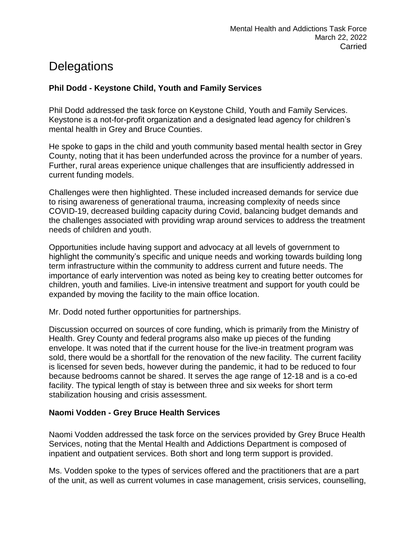# **Delegations**

#### **Phil Dodd - Keystone Child, Youth and Family Services**

Phil Dodd addressed the task force on Keystone Child, Youth and Family Services. Keystone is a not-for-profit organization and a designated lead agency for children's mental health in Grey and Bruce Counties.

He spoke to gaps in the child and youth community based mental health sector in Grey County, noting that it has been underfunded across the province for a number of years. Further, rural areas experience unique challenges that are insufficiently addressed in current funding models.

Challenges were then highlighted. These included increased demands for service due to rising awareness of generational trauma, increasing complexity of needs since COVID-19, decreased building capacity during Covid, balancing budget demands and the challenges associated with providing wrap around services to address the treatment needs of children and youth.

Opportunities include having support and advocacy at all levels of government to highlight the community's specific and unique needs and working towards building long term infrastructure within the community to address current and future needs. The importance of early intervention was noted as being key to creating better outcomes for children, youth and families. Live-in intensive treatment and support for youth could be expanded by moving the facility to the main office location.

Mr. Dodd noted further opportunities for partnerships.

Discussion occurred on sources of core funding, which is primarily from the Ministry of Health. Grey County and federal programs also make up pieces of the funding envelope. It was noted that if the current house for the live-in treatment program was sold, there would be a shortfall for the renovation of the new facility. The current facility is licensed for seven beds, however during the pandemic, it had to be reduced to four because bedrooms cannot be shared. It serves the age range of 12-18 and is a co-ed facility. The typical length of stay is between three and six weeks for short term stabilization housing and crisis assessment.

#### **Naomi Vodden - Grey Bruce Health Services**

Naomi Vodden addressed the task force on the services provided by Grey Bruce Health Services, noting that the Mental Health and Addictions Department is composed of inpatient and outpatient services. Both short and long term support is provided.

Ms. Vodden spoke to the types of services offered and the practitioners that are a part of the unit, as well as current volumes in case management, crisis services, counselling,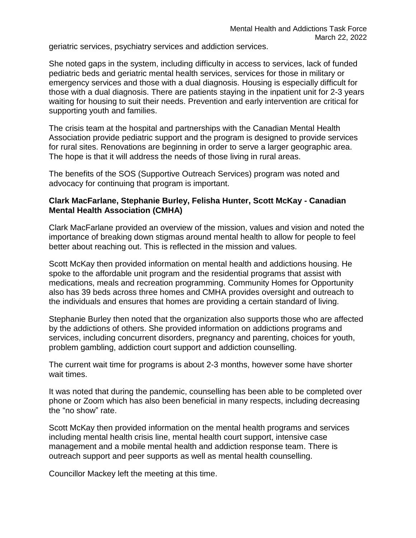geriatric services, psychiatry services and addiction services.

She noted gaps in the system, including difficulty in access to services, lack of funded pediatric beds and geriatric mental health services, services for those in military or emergency services and those with a dual diagnosis. Housing is especially difficult for those with a dual diagnosis. There are patients staying in the inpatient unit for 2-3 years waiting for housing to suit their needs. Prevention and early intervention are critical for supporting youth and families.

The crisis team at the hospital and partnerships with the Canadian Mental Health Association provide pediatric support and the program is designed to provide services for rural sites. Renovations are beginning in order to serve a larger geographic area. The hope is that it will address the needs of those living in rural areas.

The benefits of the SOS (Supportive Outreach Services) program was noted and advocacy for continuing that program is important.

#### **Clark MacFarlane, Stephanie Burley, Felisha Hunter, Scott McKay - Canadian Mental Health Association (CMHA)**

Clark MacFarlane provided an overview of the mission, values and vision and noted the importance of breaking down stigmas around mental health to allow for people to feel better about reaching out. This is reflected in the mission and values.

Scott McKay then provided information on mental health and addictions housing. He spoke to the affordable unit program and the residential programs that assist with medications, meals and recreation programming. Community Homes for Opportunity also has 39 beds across three homes and CMHA provides oversight and outreach to the individuals and ensures that homes are providing a certain standard of living.

Stephanie Burley then noted that the organization also supports those who are affected by the addictions of others. She provided information on addictions programs and services, including concurrent disorders, pregnancy and parenting, choices for youth, problem gambling, addiction court support and addiction counselling.

The current wait time for programs is about 2-3 months, however some have shorter wait times.

It was noted that during the pandemic, counselling has been able to be completed over phone or Zoom which has also been beneficial in many respects, including decreasing the "no show" rate.

Scott McKay then provided information on the mental health programs and services including mental health crisis line, mental health court support, intensive case management and a mobile mental health and addiction response team. There is outreach support and peer supports as well as mental health counselling.

Councillor Mackey left the meeting at this time.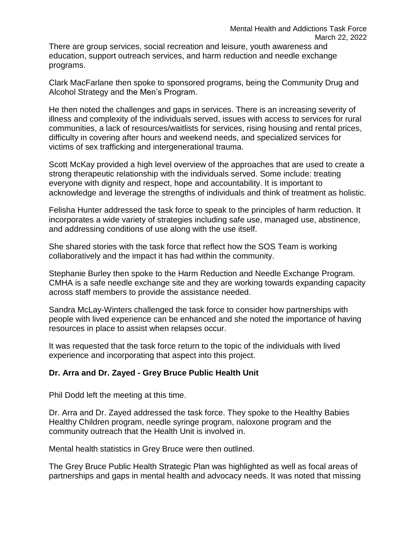There are group services, social recreation and leisure, youth awareness and education, support outreach services, and harm reduction and needle exchange programs.

Clark MacFarlane then spoke to sponsored programs, being the Community Drug and Alcohol Strategy and the Men's Program.

He then noted the challenges and gaps in services. There is an increasing severity of illness and complexity of the individuals served, issues with access to services for rural communities, a lack of resources/waitlists for services, rising housing and rental prices, difficulty in covering after hours and weekend needs, and specialized services for victims of sex trafficking and intergenerational trauma.

Scott McKay provided a high level overview of the approaches that are used to create a strong therapeutic relationship with the individuals served. Some include: treating everyone with dignity and respect, hope and accountability. It is important to acknowledge and leverage the strengths of individuals and think of treatment as holistic.

Felisha Hunter addressed the task force to speak to the principles of harm reduction. It incorporates a wide variety of strategies including safe use, managed use, abstinence, and addressing conditions of use along with the use itself.

She shared stories with the task force that reflect how the SOS Team is working collaboratively and the impact it has had within the community.

Stephanie Burley then spoke to the Harm Reduction and Needle Exchange Program. CMHA is a safe needle exchange site and they are working towards expanding capacity across staff members to provide the assistance needed.

Sandra McLay-Winters challenged the task force to consider how partnerships with people with lived experience can be enhanced and she noted the importance of having resources in place to assist when relapses occur.

It was requested that the task force return to the topic of the individuals with lived experience and incorporating that aspect into this project.

#### **Dr. Arra and Dr. Zayed - Grey Bruce Public Health Unit**

Phil Dodd left the meeting at this time.

Dr. Arra and Dr. Zayed addressed the task force. They spoke to the Healthy Babies Healthy Children program, needle syringe program, naloxone program and the community outreach that the Health Unit is involved in.

Mental health statistics in Grey Bruce were then outlined.

The Grey Bruce Public Health Strategic Plan was highlighted as well as focal areas of partnerships and gaps in mental health and advocacy needs. It was noted that missing